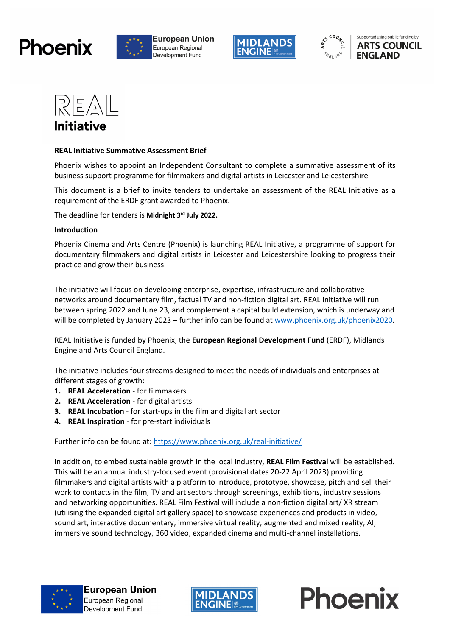











#### **REAL Initiative Summative Assessment Brief**

Phoenix wishes to appoint an Independent Consultant to complete a summative assessment of its business support programme for filmmakers and digital artists in Leicester and Leicestershire

This document is a brief to invite tenders to undertake an assessment of the REAL Initiative as a requirement of the ERDF grant awarded to Phoenix.

The deadline for tenders is **Midnight 3rd July 2022.**

#### **Introduction**

Phoenix Cinema and Arts Centre (Phoenix) is launching REAL Initiative, a programme of support for documentary filmmakers and digital artists in Leicester and Leicestershire looking to progress their practice and grow their business.

The initiative will focus on developing enterprise, expertise, infrastructure and collaborative networks around documentary film, factual TV and non-fiction digital art. REAL Initiative will run between spring 2022 and June 23, and complement a capital build extension, which is underway and will be completed by January 2023 – further info can be found a[t www.phoenix.org.uk/phoenix2020.](http://www.phoenix.org.uk/phoenix2020)

REAL Initiative is funded by Phoenix, the **European Regional Development Fund** (ERDF), Midlands Engine and Arts Council England.

The initiative includes four streams designed to meet the needs of individuals and enterprises at different stages of growth:

- 1. **REAL Acceleration** for filmmakers
- **2. REAL Acceleration** for digital artists
- **3. REAL Incubation**  for start-ups in the film and digital art sector
- **4. REAL Inspiration**  for pre-start individuals

Further info can be found at: <https://www.phoenix.org.uk/real-initiative/>

In addition, to embed sustainable growth in the local industry, **REAL Film Festival** will be established. This will be an annual industry-focused event (provisional dates 20-22 April 2023) providing filmmakers and digital artists with a platform to introduce, prototype, showcase, pitch and sell their work to contacts in the film, TV and art sectors through screenings, exhibitions, industry sessions and networking opportunities. REAL Film Festival will include a non-fiction digital art/ XR stream (utilising the expanded digital art gallery space) to showcase experiences and products in video, sound art, interactive documentary, immersive virtual reality, augmented and mixed reality, AI, immersive sound technology, 360 video, expanded cinema and multi-channel installations.



**European Union** European Regional Development Fund



Phoenix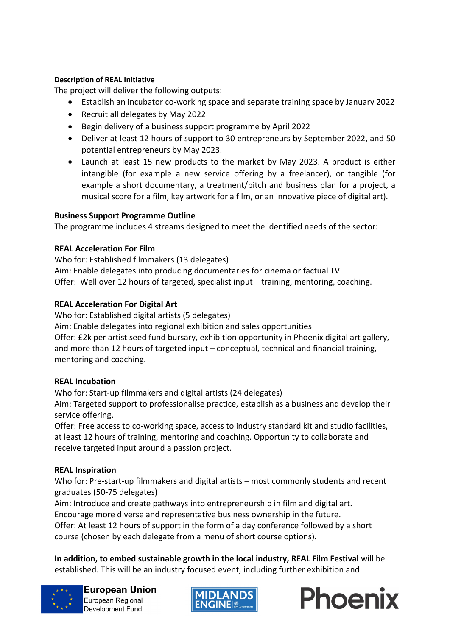### **Description of REAL Initiative**

The project will deliver the following outputs:

- Establish an incubator co-working space and separate training space by January 2022
- Recruit all delegates by May 2022
- Begin delivery of a business support programme by April 2022
- Deliver at least 12 hours of support to 30 entrepreneurs by September 2022, and 50 potential entrepreneurs by May 2023.
- Launch at least 15 new products to the market by May 2023. A product is either intangible (for example a new service offering by a freelancer), or tangible (for example a short documentary, a treatment/pitch and business plan for a project, a musical score for a film, key artwork for a film, or an innovative piece of digital art).

## **Business Support Programme Outline**

The programme includes 4 streams designed to meet the identified needs of the sector:

## **REAL Acceleration For Film**

Who for: Established filmmakers (13 delegates) Aim: Enable delegates into producing documentaries for cinema or factual TV Offer: Well over 12 hours of targeted, specialist input – training, mentoring, coaching.

## **REAL Acceleration For Digital Art**

Who for: Established digital artists (5 delegates)

Aim: Enable delegates into regional exhibition and sales opportunities

Offer: £2k per artist seed fund bursary, exhibition opportunity in Phoenix digital art gallery, and more than 12 hours of targeted input – conceptual, technical and financial training, mentoring and coaching.

#### **REAL Incubation**

Who for: Start-up filmmakers and digital artists (24 delegates)

Aim: Targeted support to professionalise practice, establish as a business and develop their service offering.

Offer: Free access to co-working space, access to industry standard kit and studio facilities, at least 12 hours of training, mentoring and coaching. Opportunity to collaborate and receive targeted input around a passion project.

## **REAL Inspiration**

Who for: Pre-start-up filmmakers and digital artists – most commonly students and recent graduates (50-75 delegates)

Aim: Introduce and create pathways into entrepreneurship in film and digital art. Encourage more diverse and representative business ownership in the future. Offer: At least 12 hours of support in the form of a day conference followed by a short course (chosen by each delegate from a menu of short course options).

**In addition, to embed sustainable growth in the local industry, REAL Film Festival** will be established. This will be an industry focused event, including further exhibition and





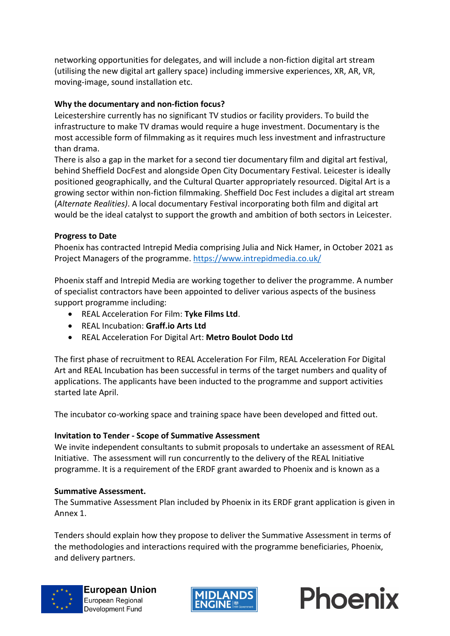networking opportunities for delegates, and will include a non-fiction digital art stream (utilising the new digital art gallery space) including immersive experiences, XR, AR, VR, moving-image, sound installation etc.

## **Why the documentary and non-fiction focus?**

Leicestershire currently has no significant TV studios or facility providers. To build the infrastructure to make TV dramas would require a huge investment. Documentary is the most accessible form of filmmaking as it requires much less investment and infrastructure than drama.

There is also a gap in the market for a second tier documentary film and digital art festival, behind Sheffield DocFest and alongside Open City Documentary Festival. Leicester is ideally positioned geographically, and the Cultural Quarter appropriately resourced. Digital Art is a growing sector within non-fiction filmmaking. Sheffield Doc Fest includes a digital art stream (*Alternate Realities)*. A local documentary Festival incorporating both film and digital art would be the ideal catalyst to support the growth and ambition of both sectors in Leicester.

#### **Progress to Date**

Phoenix has contracted Intrepid Media comprising Julia and Nick Hamer, in October 2021 as Project Managers of the programme[. https://www.intrepidmedia.co.uk/](https://www.intrepidmedia.co.uk/)

Phoenix staff and Intrepid Media are working together to deliver the programme. A number of specialist contractors have been appointed to deliver various aspects of the business support programme including:

- REAL Acceleration For Film: **Tyke Films Ltd**.
- REAL Incubation: **Graff.io Arts Ltd**
- REAL Acceleration For Digital Art: **Metro Boulot Dodo Ltd**

The first phase of recruitment to REAL Acceleration For Film, REAL Acceleration For Digital Art and REAL Incubation has been successful in terms of the target numbers and quality of applications. The applicants have been inducted to the programme and support activities started late April.

The incubator co-working space and training space have been developed and fitted out.

#### **Invitation to Tender - Scope of Summative Assessment**

We invite independent consultants to submit proposals to undertake an assessment of REAL Initiative. The assessment will run concurrently to the delivery of the REAL Initiative programme. It is a requirement of the ERDF grant awarded to Phoenix and is known as a

#### **Summative Assessment.**

The Summative Assessment Plan included by Phoenix in its ERDF grant application is given in Annex 1.

Tenders should explain how they propose to deliver the Summative Assessment in terms of the methodologies and interactions required with the programme beneficiaries, Phoenix, and delivery partners.





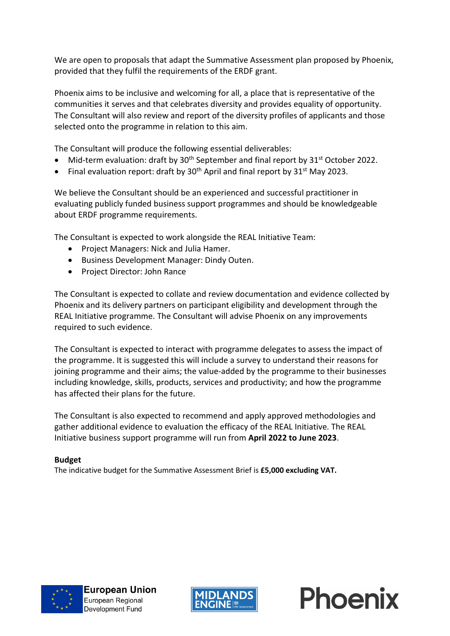We are open to proposals that adapt the Summative Assessment plan proposed by Phoenix, provided that they fulfil the requirements of the ERDF grant.

Phoenix aims to be inclusive and welcoming for all, a place that is representative of the communities it serves and that celebrates diversity and provides equality of opportunity. The Consultant will also review and report of the diversity profiles of applicants and those selected onto the programme in relation to this aim.

The Consultant will produce the following essential deliverables:

- Mid-term evaluation: draft by  $30<sup>th</sup>$  September and final report by  $31<sup>st</sup>$  October 2022.
- Final evaluation report: draft by  $30<sup>th</sup>$  April and final report by  $31<sup>st</sup>$  May 2023.

We believe the Consultant should be an experienced and successful practitioner in evaluating publicly funded business support programmes and should be knowledgeable about ERDF programme requirements.

The Consultant is expected to work alongside the REAL Initiative Team:

- Project Managers: Nick and Julia Hamer.
- Business Development Manager: Dindy Outen.
- Project Director: John Rance

The Consultant is expected to collate and review documentation and evidence collected by Phoenix and its delivery partners on participant eligibility and development through the REAL Initiative programme. The Consultant will advise Phoenix on any improvements required to such evidence.

The Consultant is expected to interact with programme delegates to assess the impact of the programme. It is suggested this will include a survey to understand their reasons for joining programme and their aims; the value-added by the programme to their businesses including knowledge, skills, products, services and productivity; and how the programme has affected their plans for the future.

The Consultant is also expected to recommend and apply approved methodologies and gather additional evidence to evaluation the efficacy of the REAL Initiative. The REAL Initiative business support programme will run from **April 2022 to June 2023**.

#### **Budget**

The indicative budget for the Summative Assessment Brief is **£5,000 excluding VAT.**



**European Union** European Regional Development Fund



Phoenix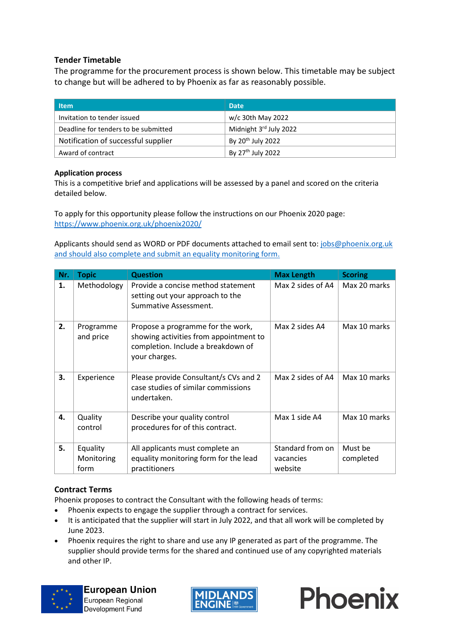### **Tender Timetable**

The programme for the procurement process is shown below. This timetable may be subject to change but will be adhered to by Phoenix as far as reasonably possible.

| <b>Item</b>                          | <b>Date</b>                   |
|--------------------------------------|-------------------------------|
| Invitation to tender issued          | w/c 30th May 2022             |
| Deadline for tenders to be submitted | Midnight 3rd July 2022        |
| Notification of successful supplier  | By 20 <sup>th</sup> July 2022 |
| Award of contract                    | By 27 <sup>th</sup> July 2022 |

#### **Application process**

This is a competitive brief and applications will be assessed by a panel and scored on the criteria detailed below.

To apply for this opportunity please follow the instructions on our Phoenix 2020 page: <https://www.phoenix.org.uk/phoenix2020/>

Applicants should send as WORD or PDF documents attached to email sent to: [jobs@phoenix.org.uk](mailto:jobs@phoenix.org.uk) and should also complete and submit an equality monitoring form.

| Nr. | <b>Topic</b>                   | <b>Question</b>                                                                                                                    | <b>Max Length</b>                        | <b>Scoring</b>       |
|-----|--------------------------------|------------------------------------------------------------------------------------------------------------------------------------|------------------------------------------|----------------------|
| 1.  | Methodology                    | Provide a concise method statement<br>setting out your approach to the<br>Summative Assessment.                                    | Max 2 sides of A4                        | Max 20 marks         |
| 2.  | Programme<br>and price         | Propose a programme for the work,<br>showing activities from appointment to<br>completion. Include a breakdown of<br>your charges. | Max 2 sides A4                           | Max 10 marks         |
| 3.  | Experience                     | Please provide Consultant/s CVs and 2<br>case studies of similar commissions<br>undertaken.                                        | Max 2 sides of A4                        | Max 10 marks         |
| 4.  | Quality<br>control             | Describe your quality control<br>procedures for of this contract.                                                                  | Max 1 side A4                            | Max 10 marks         |
| 5.  | Equality<br>Monitoring<br>form | All applicants must complete an<br>equality monitoring form for the lead<br>practitioners                                          | Standard from on<br>vacancies<br>website | Must be<br>completed |

#### **Contract Terms**

Phoenix proposes to contract the Consultant with the following heads of terms:

- Phoenix expects to engage the supplier through a contract for services.
- It is anticipated that the supplier will start in July 2022, and that all work will be completed by June 2023.
- Phoenix requires the right to share and use any IP generated as part of the programme. The supplier should provide terms for the shared and continued use of any copyrighted materials and other IP.





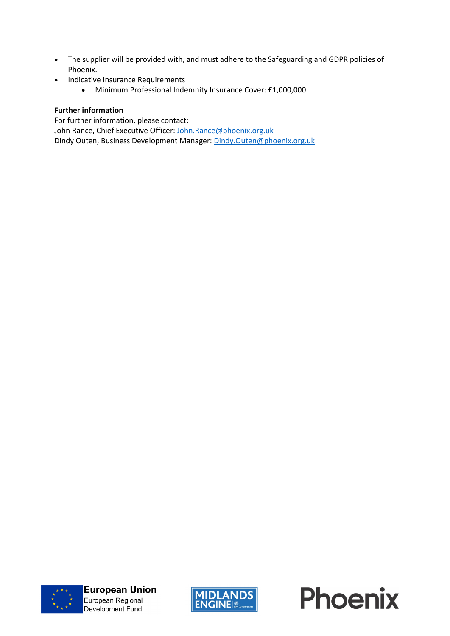- The supplier will be provided with, and must adhere to the Safeguarding and GDPR policies of Phoenix.
- Indicative Insurance Requirements
	- Minimum Professional Indemnity Insurance Cover: £1,000,000

#### **Further information**

For further information, please contact:

John Rance, Chief Executive Officer: [John.Rance@phoenix.org.uk](mailto:John.Rance@phoenix.org.uk)

Dindy Outen, Business Development Manager: [Dindy.Outen@phoenix.org.uk](mailto:Dindy.Outen@phoenix.org.uk)





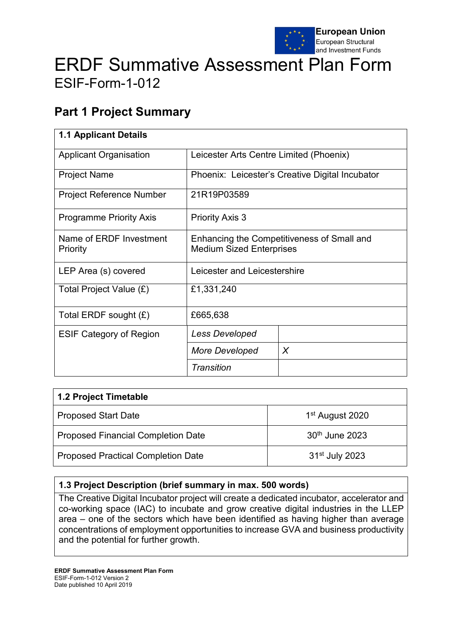

# ERDF Summative Assessment Plan Form ESIF-Form-1-012

## **Part 1 Project Summary**

| <b>1.1 Applicant Details</b>        |                                                                               |   |  |
|-------------------------------------|-------------------------------------------------------------------------------|---|--|
| <b>Applicant Organisation</b>       | Leicester Arts Centre Limited (Phoenix)                                       |   |  |
| <b>Project Name</b>                 | Phoenix: Leicester's Creative Digital Incubator                               |   |  |
| <b>Project Reference Number</b>     | 21R19P03589                                                                   |   |  |
| <b>Programme Priority Axis</b>      | <b>Priority Axis 3</b>                                                        |   |  |
| Name of ERDF Investment<br>Priority | Enhancing the Competitiveness of Small and<br><b>Medium Sized Enterprises</b> |   |  |
| LEP Area (s) covered                | Leicester and Leicestershire                                                  |   |  |
| Total Project Value (£)             | £1,331,240                                                                    |   |  |
| Total ERDF sought $(E)$             | £665,638                                                                      |   |  |
| <b>ESIF Category of Region</b>      | <b>Less Developed</b>                                                         |   |  |
|                                     | More Developed                                                                | X |  |
|                                     | Transition                                                                    |   |  |

| 1.2 Project Timetable                     |                             |  |
|-------------------------------------------|-----------------------------|--|
| <b>Proposed Start Date</b>                | 1 <sup>st</sup> August 2020 |  |
| <b>Proposed Financial Completion Date</b> | 30th June 2023              |  |
| <b>Proposed Practical Completion Date</b> | 31 <sup>st</sup> July 2023  |  |

## **1.3 Project Description (brief summary in max. 500 words)**

The Creative Digital Incubator project will create a dedicated incubator, accelerator and co-working space (IAC) to incubate and grow creative digital industries in the LLEP area – one of the sectors which have been identified as having higher than average concentrations of employment opportunities to increase GVA and business productivity and the potential for further growth.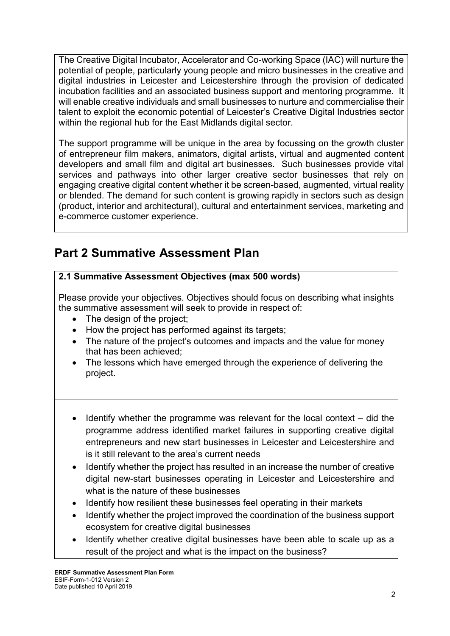The Creative Digital Incubator, Accelerator and Co-working Space (IAC) will nurture the potential of people, particularly young people and micro businesses in the creative and digital industries in Leicester and Leicestershire through the provision of dedicated incubation facilities and an associated business support and mentoring programme. It will enable creative individuals and small businesses to nurture and commercialise their talent to exploit the economic potential of Leicester's Creative Digital Industries sector within the regional hub for the East Midlands digital sector.

The support programme will be unique in the area by focussing on the growth cluster of entrepreneur film makers, animators, digital artists, virtual and augmented content developers and small film and digital art businesses. Such businesses provide vital services and pathways into other larger creative sector businesses that rely on engaging creative digital content whether it be screen-based, augmented, virtual reality or blended. The demand for such content is growing rapidly in sectors such as design (product, interior and architectural), cultural and entertainment services, marketing and e-commerce customer experience.

## **Part 2 Summative Assessment Plan**

## **2.1 Summative Assessment Objectives (max 500 words)**

Please provide your objectives. Objectives should focus on describing what insights the summative assessment will seek to provide in respect of:

- The design of the project;
- How the project has performed against its targets:
- The nature of the project's outcomes and impacts and the value for money that has been achieved;
- The lessons which have emerged through the experience of delivering the project.
- Identify whether the programme was relevant for the local context did the programme address identified market failures in supporting creative digital entrepreneurs and new start businesses in Leicester and Leicestershire and is it still relevant to the area's current needs
- Identify whether the project has resulted in an increase the number of creative digital new-start businesses operating in Leicester and Leicestershire and what is the nature of these businesses
- Identify how resilient these businesses feel operating in their markets
- Identify whether the project improved the coordination of the business support ecosystem for creative digital businesses
- Identify whether creative digital businesses have been able to scale up as a result of the project and what is the impact on the business?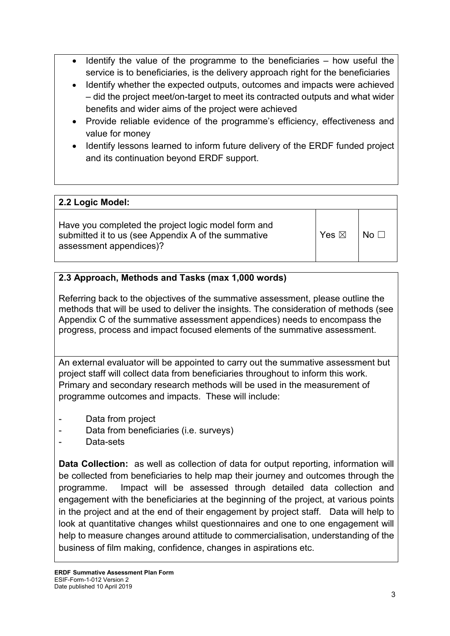- Identify the value of the programme to the beneficiaries  $-$  how useful the service is to beneficiaries, is the delivery approach right for the beneficiaries
- Identify whether the expected outputs, outcomes and impacts were achieved – did the project meet/on-target to meet its contracted outputs and what wider benefits and wider aims of the project were achieved
- Provide reliable evidence of the programme's efficiency, effectiveness and value for money
- Identify lessons learned to inform future delivery of the ERDF funded project and its continuation beyond ERDF support.

## **2.2 Logic Model:**

Have you completed the project logic model form and submitted it to us (see Appendix A of the summative assessment appendices)?

 $Yes \boxtimes \Box$ 

## **2.3 Approach, Methods and Tasks (max 1,000 words)**

Referring back to the objectives of the summative assessment, please outline the methods that will be used to deliver the insights. The consideration of methods (see Appendix C of the summative assessment appendices) needs to encompass the progress, process and impact focused elements of the summative assessment.

An external evaluator will be appointed to carry out the summative assessment but project staff will collect data from beneficiaries throughout to inform this work. Primary and secondary research methods will be used in the measurement of programme outcomes and impacts. These will include:

- Data from project
- Data from beneficiaries (i.e. surveys)
- Data-sets

**Data Collection:** as well as collection of data for output reporting, information will be collected from beneficiaries to help map their journey and outcomes through the programme. Impact will be assessed through detailed data collection and engagement with the beneficiaries at the beginning of the project, at various points in the project and at the end of their engagement by project staff. Data will help to look at quantitative changes whilst questionnaires and one to one engagement will help to measure changes around attitude to commercialisation, understanding of the business of film making, confidence, changes in aspirations etc.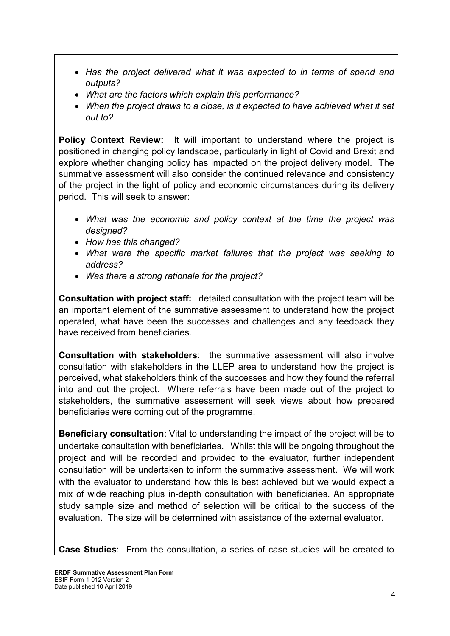- *Has the project delivered what it was expected to in terms of spend and outputs?*
- *What are the factors which explain this performance?*
- When the project draws to a close, is it expected to have achieved what it set *out to?*

**Policy Context Review:** It will important to understand where the project is positioned in changing policy landscape, particularly in light of Covid and Brexit and explore whether changing policy has impacted on the project delivery model. The summative assessment will also consider the continued relevance and consistency of the project in the light of policy and economic circumstances during its delivery period. This will seek to answer:

- *What was the economic and policy context at the time the project was designed?*
- *How has this changed?*
- *What were the specific market failures that the project was seeking to address?*
- *Was there a strong rationale for the project?*

**Consultation with project staff:** detailed consultation with the project team will be an important element of the summative assessment to understand how the project operated, what have been the successes and challenges and any feedback they have received from beneficiaries.

**Consultation with stakeholders**: the summative assessment will also involve consultation with stakeholders in the LLEP area to understand how the project is perceived, what stakeholders think of the successes and how they found the referral into and out the project. Where referrals have been made out of the project to stakeholders, the summative assessment will seek views about how prepared beneficiaries were coming out of the programme.

**Beneficiary consultation**: Vital to understanding the impact of the project will be to undertake consultation with beneficiaries. Whilst this will be ongoing throughout the project and will be recorded and provided to the evaluator, further independent consultation will be undertaken to inform the summative assessment. We will work with the evaluator to understand how this is best achieved but we would expect a mix of wide reaching plus in-depth consultation with beneficiaries. An appropriate study sample size and method of selection will be critical to the success of the evaluation. The size will be determined with assistance of the external evaluator.

**Case Studies**: From the consultation, a series of case studies will be created to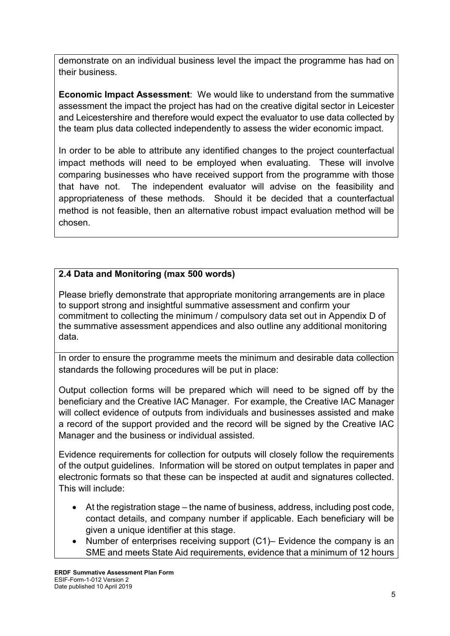demonstrate on an individual business level the impact the programme has had on their business.

**Economic Impact Assessment**: We would like to understand from the summative assessment the impact the project has had on the creative digital sector in Leicester and Leicestershire and therefore would expect the evaluator to use data collected by the team plus data collected independently to assess the wider economic impact.

In order to be able to attribute any identified changes to the project counterfactual impact methods will need to be employed when evaluating. These will involve comparing businesses who have received support from the programme with those that have not. The independent evaluator will advise on the feasibility and appropriateness of these methods. Should it be decided that a counterfactual method is not feasible, then an alternative robust impact evaluation method will be chosen.

## **2.4 Data and Monitoring (max 500 words)**

Please briefly demonstrate that appropriate monitoring arrangements are in place to support strong and insightful summative assessment and confirm your commitment to collecting the minimum / compulsory data set out in Appendix D of the summative assessment appendices and also outline any additional monitoring data.

In order to ensure the programme meets the minimum and desirable data collection standards the following procedures will be put in place:

Output collection forms will be prepared which will need to be signed off by the beneficiary and the Creative IAC Manager. For example, the Creative IAC Manager will collect evidence of outputs from individuals and businesses assisted and make a record of the support provided and the record will be signed by the Creative IAC Manager and the business or individual assisted.

Evidence requirements for collection for outputs will closely follow the requirements of the output guidelines. Information will be stored on output templates in paper and electronic formats so that these can be inspected at audit and signatures collected. This will include:

- At the registration stage the name of business, address, including post code, contact details, and company number if applicable. Each beneficiary will be given a unique identifier at this stage.
- Number of enterprises receiving support (C1)– Evidence the company is an SME and meets State Aid requirements, evidence that a minimum of 12 hours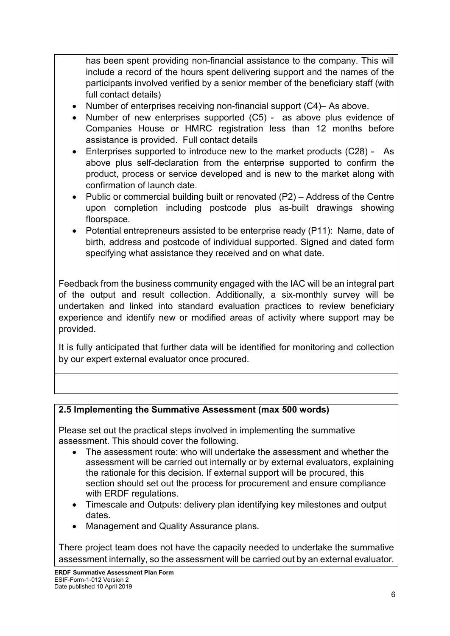has been spent providing non-financial assistance to the company. This will include a record of the hours spent delivering support and the names of the participants involved verified by a senior member of the beneficiary staff (with full contact details)

- Number of enterprises receiving non-financial support (C4)– As above.
- Number of new enterprises supported (C5) as above plus evidence of Companies House or HMRC registration less than 12 months before assistance is provided. Full contact details
- Enterprises supported to introduce new to the market products (C28) As above plus self-declaration from the enterprise supported to confirm the product, process or service developed and is new to the market along with confirmation of launch date.
- Public or commercial building built or renovated (P2) Address of the Centre upon completion including postcode plus as-built drawings showing floorspace.
- Potential entrepreneurs assisted to be enterprise ready (P11): Name, date of birth, address and postcode of individual supported. Signed and dated form specifying what assistance they received and on what date.

Feedback from the business community engaged with the IAC will be an integral part of the output and result collection. Additionally, a six-monthly survey will be undertaken and linked into standard evaluation practices to review beneficiary experience and identify new or modified areas of activity where support may be provided.

It is fully anticipated that further data will be identified for monitoring and collection by our expert external evaluator once procured.

## **2.5 Implementing the Summative Assessment (max 500 words)**

Please set out the practical steps involved in implementing the summative assessment. This should cover the following.

- The assessment route: who will undertake the assessment and whether the assessment will be carried out internally or by external evaluators, explaining the rationale for this decision. If external support will be procured, this section should set out the process for procurement and ensure compliance with ERDF regulations.
- Timescale and Outputs: delivery plan identifying key milestones and output dates.
- Management and Quality Assurance plans.

There project team does not have the capacity needed to undertake the summative assessment internally, so the assessment will be carried out by an external evaluator.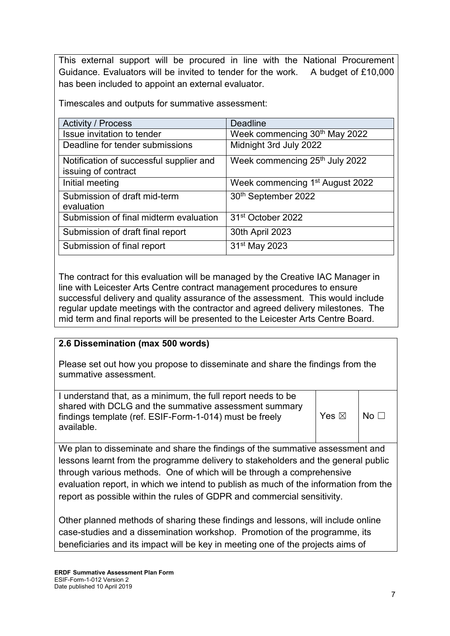This external support will be procured in line with the National Procurement Guidance. Evaluators will be invited to tender for the work. A budget of £10,000 has been included to appoint an external evaluator.

Timescales and outputs for summative assessment:

| <b>Activity / Process</b>               | <b>Deadline</b>                             |
|-----------------------------------------|---------------------------------------------|
| <b>Issue invitation to tender</b>       | Week commencing 30 <sup>th</sup> May 2022   |
| Deadline for tender submissions         | Midnight 3rd July 2022                      |
| Notification of successful supplier and | Week commencing 25 <sup>th</sup> July 2022  |
| issuing of contract                     |                                             |
| Initial meeting                         | Week commencing 1 <sup>st</sup> August 2022 |
| Submission of draft mid-term            | 30 <sup>th</sup> September 2022             |
| evaluation                              |                                             |
| Submission of final midterm evaluation  | 31 <sup>st</sup> October 2022               |
| Submission of draft final report        | 30th April 2023                             |
| Submission of final report              | 31 <sup>st</sup> May 2023                   |

The contract for this evaluation will be managed by the Creative IAC Manager in line with Leicester Arts Centre contract management procedures to ensure successful delivery and quality assurance of the assessment. This would include regular update meetings with the contractor and agreed delivery milestones. The mid term and final reports will be presented to the Leicester Arts Centre Board.

## **2.6 Dissemination (max 500 words)**

Please set out how you propose to disseminate and share the findings from the summative assessment.

| I understand that, as a minimum, the full report needs to be |                 |                                    |
|--------------------------------------------------------------|-----------------|------------------------------------|
| shared with DCLG and the summative assessment summary        |                 |                                    |
| findings template (ref. ESIF-Form-1-014) must be freely      | Yes $\boxtimes$ | $\overline{\phantom{a}}$ No $\Box$ |
| available.                                                   |                 |                                    |
|                                                              |                 |                                    |

We plan to disseminate and share the findings of the summative assessment and lessons learnt from the programme delivery to stakeholders and the general public through various methods. One of which will be through a comprehensive evaluation report, in which we intend to publish as much of the information from the report as possible within the rules of GDPR and commercial sensitivity.

Other planned methods of sharing these findings and lessons, will include online case-studies and a dissemination workshop. Promotion of the programme, its beneficiaries and its impact will be key in meeting one of the projects aims of